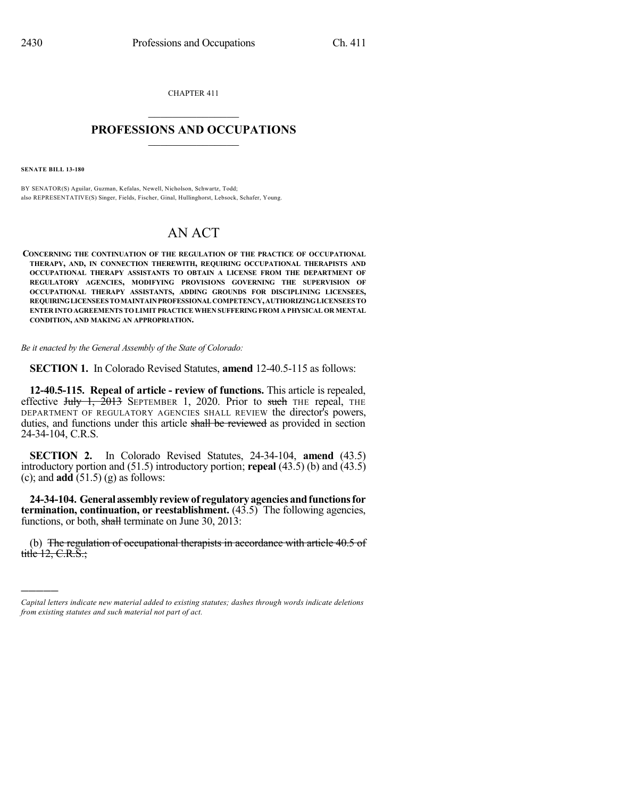CHAPTER 411  $\overline{\phantom{a}}$  . The set of the set of the set of the set of the set of the set of the set of the set of the set of the set of the set of the set of the set of the set of the set of the set of the set of the set of the set o

## **PROFESSIONS AND OCCUPATIONS**  $\frac{1}{2}$  ,  $\frac{1}{2}$  ,  $\frac{1}{2}$  ,  $\frac{1}{2}$  ,  $\frac{1}{2}$  ,  $\frac{1}{2}$

**SENATE BILL 13-180**

)))))

BY SENATOR(S) Aguilar, Guzman, Kefalas, Newell, Nicholson, Schwartz, Todd; also REPRESENTATIVE(S) Singer, Fields, Fischer, Ginal, Hullinghorst, Lebsock, Schafer, Young.

## AN ACT

**CONCERNING THE CONTINUATION OF THE REGULATION OF THE PRACTICE OF OCCUPATIONAL THERAPY, AND, IN CONNECTION THEREWITH, REQUIRING OCCUPATIONAL THERAPISTS AND OCCUPATIONAL THERAPY ASSISTANTS TO OBTAIN A LICENSE FROM THE DEPARTMENT OF REGULATORY AGENCIES, MODIFYING PROVISIONS GOVERNING THE SUPERVISION OF OCCUPATIONAL THERAPY ASSISTANTS, ADDING GROUNDS FOR DISCIPLINING LICENSEES, REQUIRINGLICENSEESTOMAINTAINPROFESSIONAL COMPETENCY,AUTHORIZINGLICENSEESTO ENTER INTO AGREEMENTSTO LIMITPRACTICE WHEN SUFFERINGFROM A PHYSICAL OR MENTAL CONDITION, AND MAKING AN APPROPRIATION.**

*Be it enacted by the General Assembly of the State of Colorado:*

**SECTION 1.** In Colorado Revised Statutes, **amend** 12-40.5-115 as follows:

**12-40.5-115. Repeal of article - review of functions.** This article is repealed, effective July 1,  $\overline{2013}$  SEPTEMBER 1, 2020. Prior to such THE repeal, THE DEPARTMENT OF REGULATORY AGENCIES SHALL REVIEW the director's powers, duties, and functions under this article shall be reviewed as provided in section 24-34-104, C.R.S.

**SECTION 2.** In Colorado Revised Statutes, 24-34-104, **amend** (43.5) introductory portion and (51.5) introductory portion; **repeal** (43.5) (b) and (43.5) (c); and **add** (51.5) (g) as follows:

**24-34-104. Generalassemblyreviewof regulatoryagenciesandfunctionsfor termination, continuation, or reestablishment.** (43.5) The following agencies, functions, or both, shall terminate on June 30, 2013:

(b) The regulation of occupational therapists in accordance with article 40.5 of title  $12, C.R.S.$ ;

*Capital letters indicate new material added to existing statutes; dashes through words indicate deletions from existing statutes and such material not part of act.*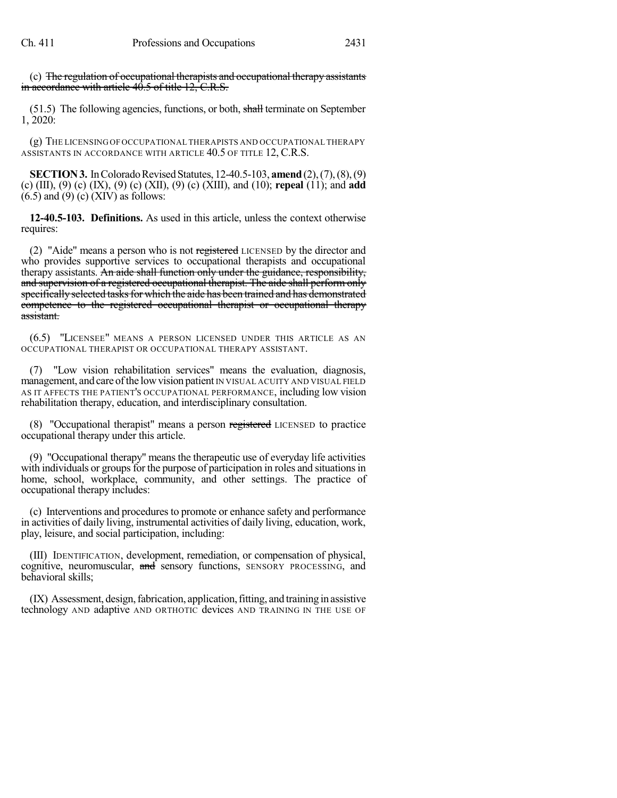(c) The regulation of occupational therapists and occupational therapy assistants in accordance with article 40.5 of title 12, C.R.S.

(51.5) The following agencies, functions, or both, shall terminate on September 1, 2020:

(g) THE LICENSING OF OCCUPATIONAL THERAPISTS AND OCCUPATIONAL THERAPY ASSISTANTS IN ACCORDANCE WITH ARTICLE 40.5 OF TITLE 12, C.R.S.

**SECTION 3.** In Colorado Revised Statutes, 12-40.5-103, **amend** (2), (7), (8), (9) (c) (III), (9) (c) (IX), (9) (c) (XII), (9) (c) (XIII), and (10); **repeal** (11); and **add**  $(6.5)$  and  $(9)$  (c) (XIV) as follows:

**12-40.5-103. Definitions.** As used in this article, unless the context otherwise requires:

(2) "Aide" means a person who is not registered LICENSED by the director and who provides supportive services to occupational therapists and occupational therapy assistants. An aide shall function only under the guidance, responsibility, and supervision of a registered occupational therapist. The aide shall perform only specifically selected tasks for which the aide has been trained and has demonstrated competence to the registered occupational therapist or occupational therapy assistant.

(6.5) "LICENSEE" MEANS A PERSON LICENSED UNDER THIS ARTICLE AS AN OCCUPATIONAL THERAPIST OR OCCUPATIONAL THERAPY ASSISTANT.

(7) "Low vision rehabilitation services" means the evaluation, diagnosis, management, and care of the low vision patient IN VISUAL ACUITY AND VISUAL FIELD AS IT AFFECTS THE PATIENT'S OCCUPATIONAL PERFORMANCE, including low vision rehabilitation therapy, education, and interdisciplinary consultation.

(8) "Occupational therapist" means a person registered LICENSED to practice occupational therapy under this article.

(9) "Occupational therapy" means the therapeutic use of everyday life activities with individuals or groups for the purpose of participation in roles and situations in home, school, workplace, community, and other settings. The practice of occupational therapy includes:

(c) Interventions and procedures to promote or enhance safety and performance in activities of daily living, instrumental activities of daily living, education, work, play, leisure, and social participation, including:

(III) IDENTIFICATION, development, remediation, or compensation of physical, cognitive, neuromuscular, and sensory functions, SENSORY PROCESSING, and behavioral skills;

(IX) Assessment, design, fabrication, application, fitting, and training in assistive technology AND adaptive AND ORTHOTIC devices AND TRAINING IN THE USE OF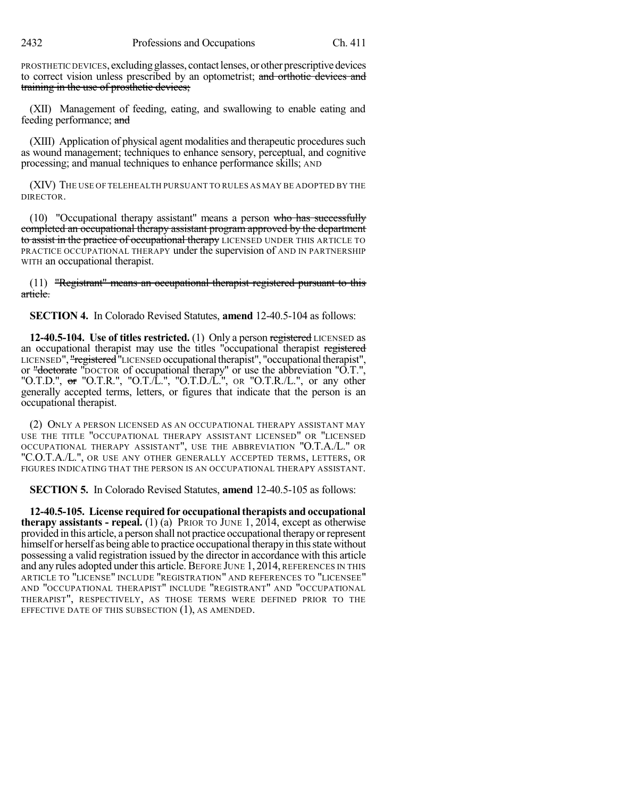PROSTHETIC DEVICES, excluding glasses, contact lenses, or other prescriptive devices to correct vision unless prescribed by an optometrist; and orthotic devices and training in the use of prosthetic devices;

(XII) Management of feeding, eating, and swallowing to enable eating and feeding performance; and

(XIII) Application of physical agent modalities and therapeutic procedures such as wound management; techniques to enhance sensory, perceptual, and cognitive processing; and manual techniques to enhance performance skills; AND

(XIV) THE USE OF TELEHEALTH PURSUANT TO RULES AS MAY BE ADOPTED BY THE DIRECTOR.

 $(10)$  "Occupational therapy assistant" means a person who has successfully completed an occupational therapy assistant program approved by the department to assist in the practice of occupational therapy LICENSED UNDER THIS ARTICLE TO PRACTICE OCCUPATIONAL THERAPY under the supervision of AND IN PARTNERSHIP WITH an occupational therapist.

(11) "Registrant" means an occupational therapist registered pursuant to this article.

**SECTION 4.** In Colorado Revised Statutes, **amend** 12-40.5-104 as follows:

**12-40.5-104. Use of titles restricted.** (1) Only a person registered LICENSED as an occupational therapist may use the titles "occupational therapist registered LICENSED", "registered "LICENSED occupational therapist", "occupational therapist", or "<del>doctorate</del> "DOCTOR of occupational therapy" or use the abbreviation "O.T.", "O.T.D.",  $\sigma r$  "O.T.R.", "O.T./L.", "O.T.D./L.", or "O.T.R./L.", or any other generally accepted terms, letters, or figures that indicate that the person is an occupational therapist.

(2) ONLY A PERSON LICENSED AS AN OCCUPATIONAL THERAPY ASSISTANT MAY USE THE TITLE "OCCUPATIONAL THERAPY ASSISTANT LICENSED" OR "LICENSED OCCUPATIONAL THERAPY ASSISTANT", USE THE ABBREVIATION "O.T.A./L." OR "C.O.T.A./L.", OR USE ANY OTHER GENERALLY ACCEPTED TERMS, LETTERS, OR FIGURES INDICATING THAT THE PERSON IS AN OCCUPATIONAL THERAPY ASSISTANT.

**SECTION 5.** In Colorado Revised Statutes, **amend** 12-40.5-105 as follows:

**12-40.5-105. License required for occupationaltherapists and occupational therapy assistants - repeal.** (1) (a) PRIOR TO JUNE 1, 2014, except as otherwise provided in this article, a person shall not practice occupational therapyorrepresent himself or herself as being able to practice occupational therapy in this state without possessing a valid registration issued by the director in accordance with this article and any rules adopted under this article. BEFORE JUNE 1, 2014, REFERENCES IN THIS ARTICLE TO "LICENSE" INCLUDE "REGISTRATION" AND REFERENCES TO "LICENSEE" AND "OCCUPATIONAL THERAPIST" INCLUDE "REGISTRANT" AND "OCCUPATIONAL THERAPIST", RESPECTIVELY, AS THOSE TERMS WERE DEFINED PRIOR TO THE EFFECTIVE DATE OF THIS SUBSECTION (1), AS AMENDED.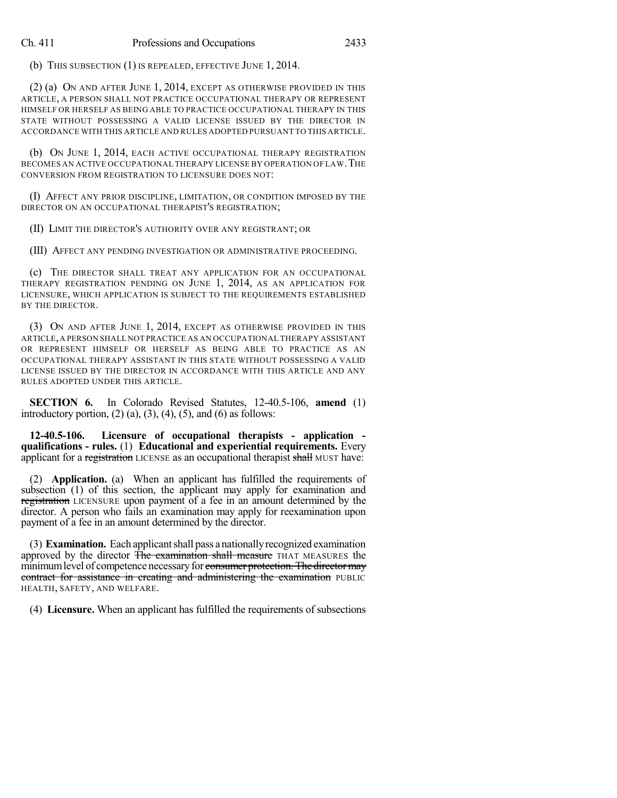(b) THIS SUBSECTION (1) IS REPEALED, EFFECTIVE JUNE 1, 2014.

(2) (a) ON AND AFTER JUNE 1, 2014, EXCEPT AS OTHERWISE PROVIDED IN THIS ARTICLE, A PERSON SHALL NOT PRACTICE OCCUPATIONAL THERAPY OR REPRESENT HIMSELF OR HERSELF AS BEING ABLE TO PRACTICE OCCUPATIONAL THERAPY IN THIS STATE WITHOUT POSSESSING A VALID LICENSE ISSUED BY THE DIRECTOR IN ACCORDANCE WITH THIS ARTICLE AND RULES ADOPTED PURSUANT TO THIS ARTICLE.

(b) ON JUNE 1, 2014, EACH ACTIVE OCCUPATIONAL THERAPY REGISTRATION BECOMES AN ACTIVE OCCUPATIONAL THERAPY LICENSE BY OPERATION OF LAW. THE CONVERSION FROM REGISTRATION TO LICENSURE DOES NOT:

(I) AFFECT ANY PRIOR DISCIPLINE, LIMITATION, OR CONDITION IMPOSED BY THE DIRECTOR ON AN OCCUPATIONAL THERAPIST'S REGISTRATION;

(II) LIMIT THE DIRECTOR'S AUTHORITY OVER ANY REGISTRANT; OR

(III) AFFECT ANY PENDING INVESTIGATION OR ADMINISTRATIVE PROCEEDING.

(c) THE DIRECTOR SHALL TREAT ANY APPLICATION FOR AN OCCUPATIONAL THERAPY REGISTRATION PENDING ON JUNE 1, 2014, AS AN APPLICATION FOR LICENSURE, WHICH APPLICATION IS SUBJECT TO THE REQUIREMENTS ESTABLISHED BY THE DIRECTOR.

(3) ON AND AFTER JUNE 1, 2014, EXCEPT AS OTHERWISE PROVIDED IN THIS ARTICLE,A PERSON SHALL NOT PRACTICE AS AN OCCUPATIONAL THERAPY ASSISTANT OR REPRESENT HIMSELF OR HERSELF AS BEING ABLE TO PRACTICE AS AN OCCUPATIONAL THERAPY ASSISTANT IN THIS STATE WITHOUT POSSESSING A VALID LICENSE ISSUED BY THE DIRECTOR IN ACCORDANCE WITH THIS ARTICLE AND ANY RULES ADOPTED UNDER THIS ARTICLE.

**SECTION 6.** In Colorado Revised Statutes, 12-40.5-106, **amend** (1) introductory portion,  $(2)$   $(a)$ ,  $(3)$ ,  $(4)$ ,  $(5)$ , and  $(6)$  as follows:

**12-40.5-106. Licensure of occupational therapists - application qualifications - rules.** (1) **Educational and experiential requirements.** Every applicant for a registration LICENSE as an occupational therapist shall MUST have:

(2) **Application.** (a) When an applicant has fulfilled the requirements of subsection (1) of this section, the applicant may apply for examination and registration LICENSURE upon payment of a fee in an amount determined by the director. A person who fails an examination may apply for reexamination upon payment of a fee in an amount determined by the director.

(3) **Examination.** Each applicantshall pass a nationallyrecognized examination approved by the director The examination shall measure THAT MEASURES the minimum level of competence necessary for consumer protection. The director may contract for assistance in creating and administering the examination PUBLIC HEALTH, SAFETY, AND WELFARE.

(4) **Licensure.** When an applicant has fulfilled the requirements of subsections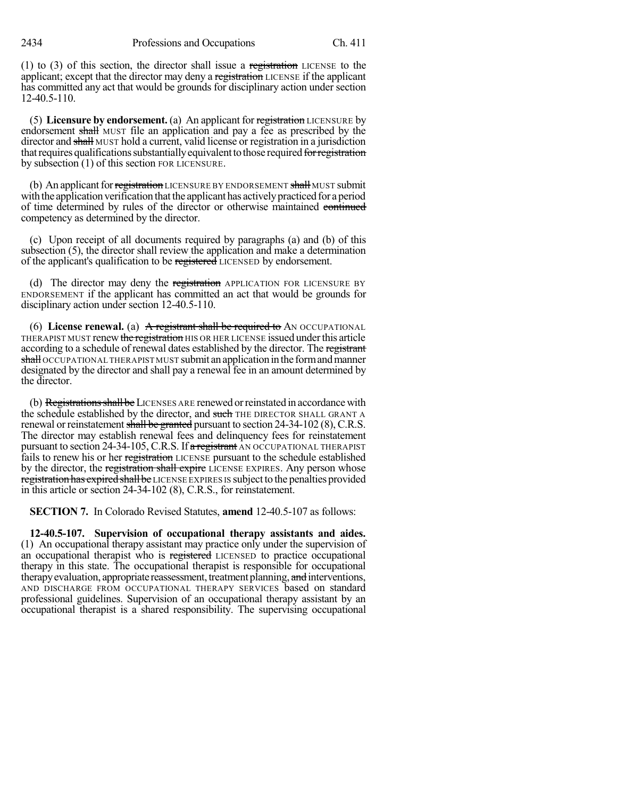(1) to (3) of this section, the director shall issue a registration LICENSE to the applicant; except that the director may deny a registration LICENSE if the applicant has committed any act that would be grounds for disciplinary action under section 12-40.5-110.

(5) **Licensure by endorsement.** (a) An applicant for registration LICENSURE by endorsement shall MUST file an application and pay a fee as prescribed by the director and shall MUST hold a current, valid license or registration in a jurisdiction that requires qualifications substantially equivalent to those required for registration by subsection (1) of this section FOR LICENSURE.

(b) An applicant for registration LICENSURE BY ENDORSEMENT shall MUST submit with the application verification that the applicant has actively practiced for a period of time determined by rules of the director or otherwise maintained continued competency as determined by the director.

(c) Upon receipt of all documents required by paragraphs (a) and (b) of this subsection (5), the director shall review the application and make a determination of the applicant's qualification to be registered LICENSED by endorsement.

(d) The director may deny the registration APPLICATION FOR LICENSURE BY ENDORSEMENT if the applicant has committed an act that would be grounds for disciplinary action under section 12-40.5-110.

(6) **License renewal.** (a) A registrant shall be required to AN OCCUPATIONAL THERAPIST MUST renew the registration HIS OR HER LICENSE issued under this article according to a schedule of renewal dates established by the director. The registrant shall OCCUPATIONAL THERAPIST MUST submit an application in the form and manner designated by the director and shall pay a renewal fee in an amount determined by the director.

(b) Registrations shall be LICENSES ARE renewed or reinstated in accordance with the schedule established by the director, and such THE DIRECTOR SHALL GRANT A renewal or reinstatement shall be granted pursuant to section  $24-34-102$  (8), C.R.S. The director may establish renewal fees and delinquency fees for reinstatement pursuant to section  $24-34-105$ , C.R.S. If a registrant AN OCCUPATIONAL THERAPIST fails to renew his or her registration LICENSE pursuant to the schedule established by the director, the registration shall expire LICENSE EXPIRES. Any person whose registration has expired shall be LICENSE EXPIRES IS subject to the penalties provided in this article or section 24-34-102 (8), C.R.S., for reinstatement.

**SECTION 7.** In Colorado Revised Statutes, **amend** 12-40.5-107 as follows:

**12-40.5-107. Supervision of occupational therapy assistants and aides.** (1) An occupational therapy assistant may practice only under the supervision of an occupational therapist who is registered LICENSED to practice occupational therapy in this state. The occupational therapist is responsible for occupational therapy evaluation, appropriate reassessment, treatment planning, and interventions, AND DISCHARGE FROM OCCUPATIONAL THERAPY SERVICES based on standard professional guidelines. Supervision of an occupational therapy assistant by an occupational therapist is a shared responsibility. The supervising occupational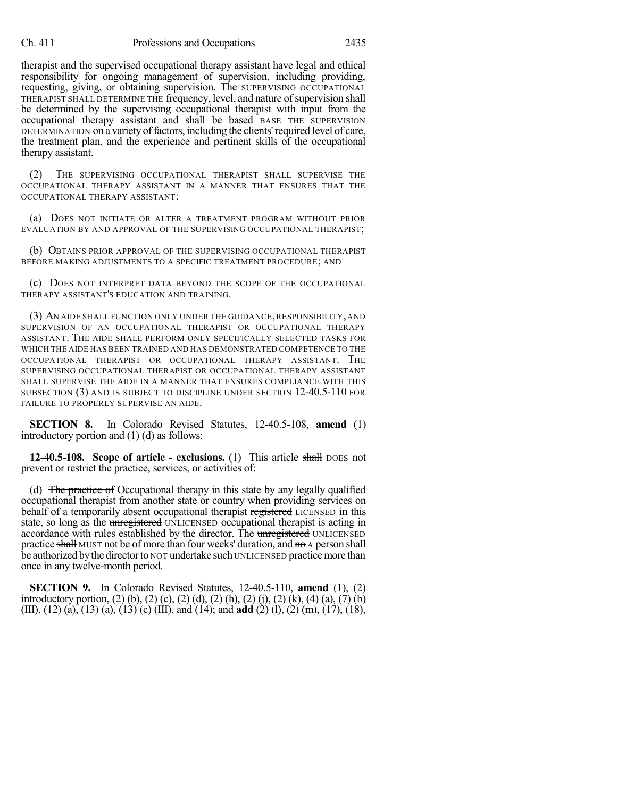therapist and the supervised occupational therapy assistant have legal and ethical responsibility for ongoing management of supervision, including providing, requesting, giving, or obtaining supervision. The SUPERVISING OCCUPATIONAL THERAPIST SHALL DETERMINE THE frequency, level, and nature of supervision shall be determined by the supervising occupational therapist with input from the occupational therapy assistant and shall be based BASE THE SUPERVISION DETERMINATION on a variety of factors, including the clients' required level of care, the treatment plan, and the experience and pertinent skills of the occupational therapy assistant.

(2) THE SUPERVISING OCCUPATIONAL THERAPIST SHALL SUPERVISE THE OCCUPATIONAL THERAPY ASSISTANT IN A MANNER THAT ENSURES THAT THE OCCUPATIONAL THERAPY ASSISTANT:

(a) DOES NOT INITIATE OR ALTER A TREATMENT PROGRAM WITHOUT PRIOR EVALUATION BY AND APPROVAL OF THE SUPERVISING OCCUPATIONAL THERAPIST;

(b) OBTAINS PRIOR APPROVAL OF THE SUPERVISING OCCUPATIONAL THERAPIST BEFORE MAKING ADJUSTMENTS TO A SPECIFIC TREATMENT PROCEDURE; AND

(c) DOES NOT INTERPRET DATA BEYOND THE SCOPE OF THE OCCUPATIONAL THERAPY ASSISTANT'S EDUCATION AND TRAINING.

(3) AN AIDE SHALL FUNCTION ONLY UNDER THE GUIDANCE, RESPONSIBILITY, AND SUPERVISION OF AN OCCUPATIONAL THERAPIST OR OCCUPATIONAL THERAPY ASSISTANT. THE AIDE SHALL PERFORM ONLY SPECIFICALLY SELECTED TASKS FOR WHICH THE AIDE HAS BEEN TRAINED AND HAS DEMONSTRATED COMPETENCE TO THE OCCUPATIONAL THERAPIST OR OCCUPATIONAL THERAPY ASSISTANT. THE SUPERVISING OCCUPATIONAL THERAPIST OR OCCUPATIONAL THERAPY ASSISTANT SHALL SUPERVISE THE AIDE IN A MANNER THAT ENSURES COMPLIANCE WITH THIS SUBSECTION (3) AND IS SUBJECT TO DISCIPLINE UNDER SECTION 12-40.5-110 FOR FAILURE TO PROPERLY SUPERVISE AN AIDE.

**SECTION 8.** In Colorado Revised Statutes, 12-40.5-108, **amend** (1) introductory portion and (1) (d) as follows:

**12-40.5-108. Scope of article - exclusions.** (1) This article shall DOES not prevent or restrict the practice, services, or activities of:

(d) The practice of Occupational therapy in this state by any legally qualified occupational therapist from another state or country when providing services on behalf of a temporarily absent occupational therapist registered LICENSED in this state, so long as the unregistered UNLICENSED occupational therapist is acting in accordance with rules established by the director. The unregistered UNLICENSED practice shall MUST not be of more than four weeks' duration, and no A person shall be authorized by the director to NOT undertake such UNLICENSED practice more than once in any twelve-month period.

**SECTION 9.** In Colorado Revised Statutes, 12-40.5-110, **amend** (1), (2) introductory portion, (2) (b), (2) (c), (2) (d), (2) (h), (2) (j), (2) (k), (4) (a), (7) (b) (III), (12) (a), (13) (a), (13) (c) (III), and (14); and **add** (2) (l), (2) (m), (17), (18),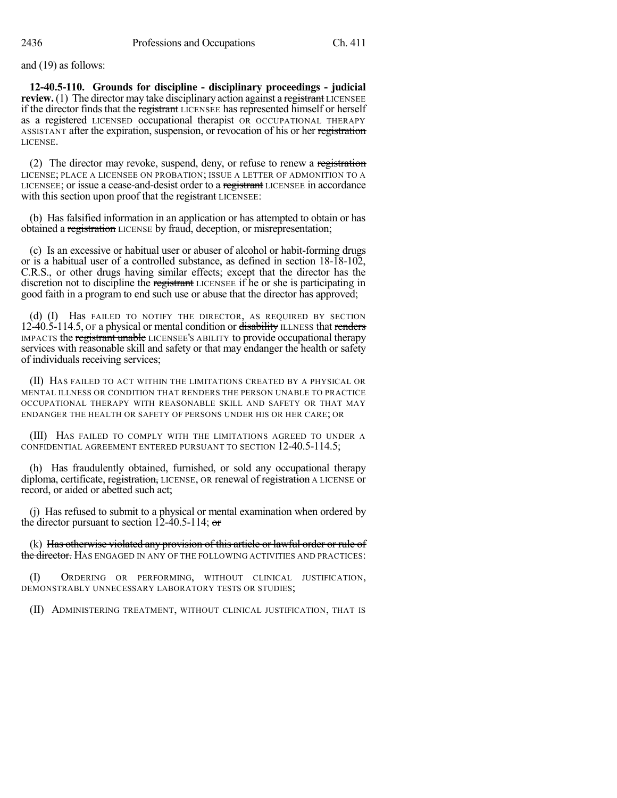and (19) as follows:

**12-40.5-110. Grounds for discipline - disciplinary proceedings - judicial review.** (1) The director may take disciplinary action against a registrant LICENSEE if the director finds that the registrant LICENSEE has represented himself or herself as a registered LICENSED occupational therapist OR OCCUPATIONAL THERAPY ASSISTANT after the expiration, suspension, or revocation of his or her registration LICENSE.

(2) The director may revoke, suspend, deny, or refuse to renew a registration LICENSE; PLACE A LICENSEE ON PROBATION; ISSUE A LETTER OF ADMONITION TO A LICENSEE; or issue a cease-and-desist order to a registrant LICENSEE in accordance with this section upon proof that the registrant LICENSEE:

(b) Has falsified information in an application or has attempted to obtain or has obtained a registration LICENSE by fraud, deception, or misrepresentation;

(c) Is an excessive or habitual user or abuser of alcohol or habit-forming drugs or is a habitual user of a controlled substance, as defined in section 18-18-102, C.R.S., or other drugs having similar effects; except that the director has the discretion not to discipline the registrant LICENSEE if he or she is participating in good faith in a program to end such use or abuse that the director has approved;

(d) (I) Has FAILED TO NOTIFY THE DIRECTOR, AS REQUIRED BY SECTION 12-40.5-114.5, OF a physical or mental condition or disability ILLNESS that renders IMPACTS the registrant unable LICENSEE'S ABILITY to provide occupational therapy services with reasonable skill and safety or that may endanger the health or safety of individuals receiving services;

(II) HAS FAILED TO ACT WITHIN THE LIMITATIONS CREATED BY A PHYSICAL OR MENTAL ILLNESS OR CONDITION THAT RENDERS THE PERSON UNABLE TO PRACTICE OCCUPATIONAL THERAPY WITH REASONABLE SKILL AND SAFETY OR THAT MAY ENDANGER THE HEALTH OR SAFETY OF PERSONS UNDER HIS OR HER CARE; OR

(III) HAS FAILED TO COMPLY WITH THE LIMITATIONS AGREED TO UNDER A CONFIDENTIAL AGREEMENT ENTERED PURSUANT TO SECTION 12-40.5-114.5;

(h) Has fraudulently obtained, furnished, or sold any occupational therapy diploma, certificate, registration, LICENSE, OR renewal of registration A LICENSE or record, or aided or abetted such act;

(j) Has refused to submit to a physical or mental examination when ordered by the director pursuant to section 12-40.5-114;  $\sigma$ 

(k) Has otherwise violated any provision of this article or lawful order or rule of the director. HAS ENGAGED IN ANY OF THE FOLLOWING ACTIVITIES AND PRACTICES:

(I) ORDERING OR PERFORMING, WITHOUT CLINICAL JUSTIFICATION, DEMONSTRABLY UNNECESSARY LABORATORY TESTS OR STUDIES;

(II) ADMINISTERING TREATMENT, WITHOUT CLINICAL JUSTIFICATION, THAT IS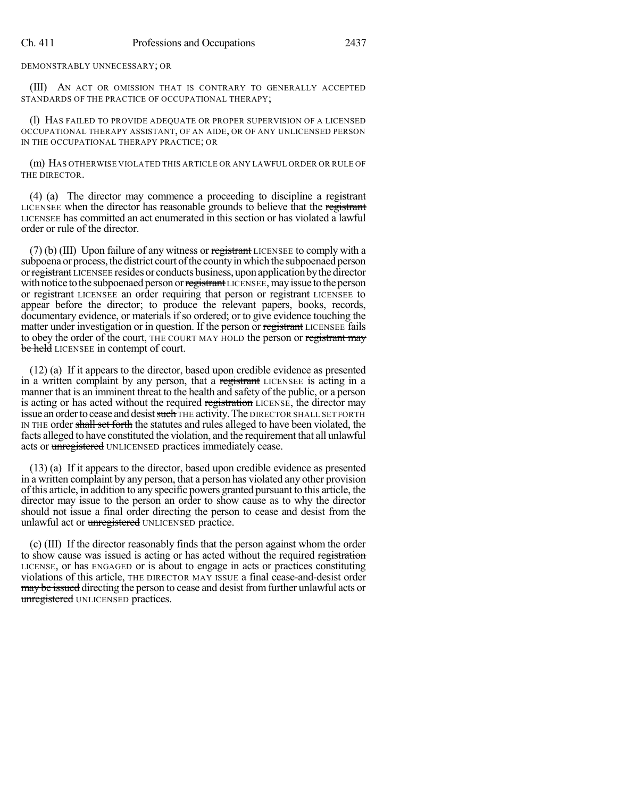DEMONSTRABLY UNNECESSARY; OR

(III) AN ACT OR OMISSION THAT IS CONTRARY TO GENERALLY ACCEPTED STANDARDS OF THE PRACTICE OF OCCUPATIONAL THERAPY;

(l) HAS FAILED TO PROVIDE ADEQUATE OR PROPER SUPERVISION OF A LICENSED OCCUPATIONAL THERAPY ASSISTANT, OF AN AIDE, OR OF ANY UNLICENSED PERSON IN THE OCCUPATIONAL THERAPY PRACTICE; OR

(m) HAS OTHERWISE VIOLATED THIS ARTICLE OR ANY LAWFUL ORDER OR RULE OF THE DIRECTOR.

(4) (a) The director may commence a proceeding to discipline a registrant LICENSEE when the director has reasonable grounds to believe that the registrant LICENSEE has committed an act enumerated in this section or has violated a lawful order or rule of the director.

 $(7)$  (b) (III) Upon failure of any witness or registrant LICENSEE to comply with a subpoena or process, the district court of the county in which the subpoenaed person or registrant LICENSEE resides or conducts business, upon application by the director with notice to the subpoenaed person or registrant LICENSEE, may issue to the person or registrant LICENSEE an order requiring that person or registrant LICENSEE to appear before the director; to produce the relevant papers, books, records, documentary evidence, or materials if so ordered; or to give evidence touching the matter under investigation or in question. If the person or registrant LICENSEE fails to obey the order of the court, THE COURT MAY HOLD the person or registrant may be held LICENSEE in contempt of court.

(12) (a) If it appears to the director, based upon credible evidence as presented in a written complaint by any person, that a registrant LICENSEE is acting in a manner that is an imminent threat to the health and safety of the public, or a person is acting or has acted without the required registration LICENSE, the director may issue an order to cease and desist such THE activity. The DIRECTOR SHALL SET FORTH IN THE order shall set forth the statutes and rules alleged to have been violated, the facts alleged to have constituted the violation, and the requirement that all unlawful acts or unregistered UNLICENSED practices immediately cease.

(13) (a) If it appears to the director, based upon credible evidence as presented in a written complaint by any person, that a person has violated any other provision of this article, in addition to any specific powers granted pursuant to this article, the director may issue to the person an order to show cause as to why the director should not issue a final order directing the person to cease and desist from the unlawful act or *unregistered* UNLICENSED practice.

(c) (III) If the director reasonably finds that the person against whom the order to show cause was issued is acting or has acted without the required registration LICENSE, or has ENGAGED or is about to engage in acts or practices constituting violations of this article, THE DIRECTOR MAY ISSUE a final cease-and-desist order may be issued directing the person to cease and desist from further unlawful acts or unregistered UNLICENSED practices.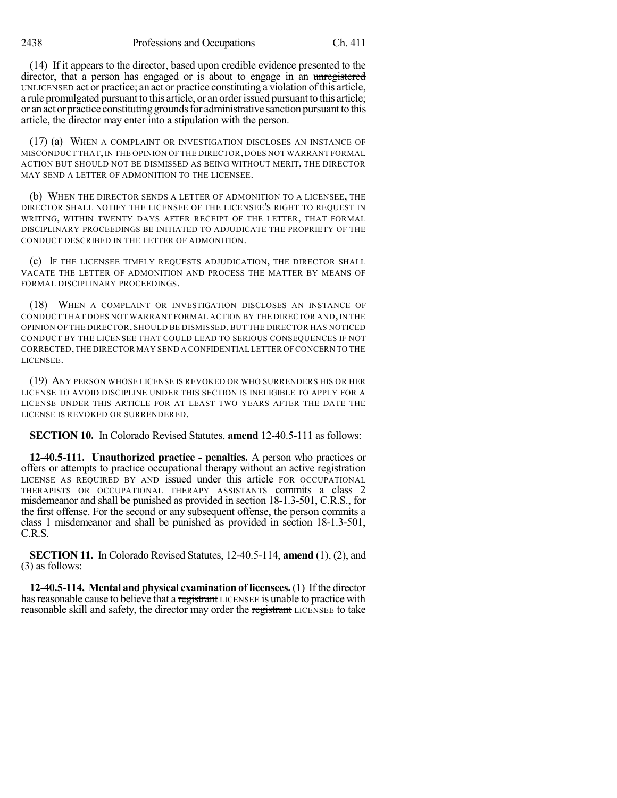2438 Professions and Occupations Ch. 411

(14) If it appears to the director, based upon credible evidence presented to the director, that a person has engaged or is about to engage in an unregistered UNLICENSED act or practice; an act or practice constituting a violation ofthis article, a rule promulgated pursuant to this article, or an order issued pursuant to this article; or an act or practice constituting grounds for administrative sanction pursuant to this article, the director may enter into a stipulation with the person.

(17) (a) WHEN A COMPLAINT OR INVESTIGATION DISCLOSES AN INSTANCE OF MISCONDUCT THAT,IN THE OPINION OF THE DIRECTOR, DOES NOT WARRANT FORMAL ACTION BUT SHOULD NOT BE DISMISSED AS BEING WITHOUT MERIT, THE DIRECTOR MAY SEND A LETTER OF ADMONITION TO THE LICENSEE.

(b) WHEN THE DIRECTOR SENDS A LETTER OF ADMONITION TO A LICENSEE, THE DIRECTOR SHALL NOTIFY THE LICENSEE OF THE LICENSEE'S RIGHT TO REQUEST IN WRITING, WITHIN TWENTY DAYS AFTER RECEIPT OF THE LETTER, THAT FORMAL DISCIPLINARY PROCEEDINGS BE INITIATED TO ADJUDICATE THE PROPRIETY OF THE CONDUCT DESCRIBED IN THE LETTER OF ADMONITION.

(c) IF THE LICENSEE TIMELY REQUESTS ADJUDICATION, THE DIRECTOR SHALL VACATE THE LETTER OF ADMONITION AND PROCESS THE MATTER BY MEANS OF FORMAL DISCIPLINARY PROCEEDINGS.

(18) WHEN A COMPLAINT OR INVESTIGATION DISCLOSES AN INSTANCE OF CONDUCT THAT DOES NOT WARRANT FORMAL ACTION BY THE DIRECTOR AND, IN THE OPINION OF THE DIRECTOR, SHOULD BE DISMISSED, BUT THE DIRECTOR HAS NOTICED CONDUCT BY THE LICENSEE THAT COULD LEAD TO SERIOUS CONSEQUENCES IF NOT CORRECTED,THE DIRECTOR MAY SEND A CONFIDENTIAL LETTER OF CONCERN TO THE LICENSEE.

(19) ANY PERSON WHOSE LICENSE IS REVOKED OR WHO SURRENDERS HIS OR HER LICENSE TO AVOID DISCIPLINE UNDER THIS SECTION IS INELIGIBLE TO APPLY FOR A LICENSE UNDER THIS ARTICLE FOR AT LEAST TWO YEARS AFTER THE DATE THE LICENSE IS REVOKED OR SURRENDERED.

**SECTION 10.** In Colorado Revised Statutes, **amend** 12-40.5-111 as follows:

**12-40.5-111. Unauthorized practice - penalties.** A person who practices or offers or attempts to practice occupational therapy without an active registration LICENSE AS REQUIRED BY AND issued under this article FOR OCCUPATIONAL THERAPISTS OR OCCUPATIONAL THERAPY ASSISTANTS commits a class 2 misdemeanor and shall be punished as provided in section 18-1.3-501, C.R.S., for the first offense. For the second or any subsequent offense, the person commits a class 1 misdemeanor and shall be punished as provided in section 18-1.3-501, C.R.S.

**SECTION 11.** In Colorado Revised Statutes, 12-40.5-114, **amend** (1), (2), and (3) as follows:

**12-40.5-114. Mental and physical examination of licensees.**(1) Ifthe director has reasonable cause to believe that a registrant LICENSEE is unable to practice with reasonable skill and safety, the director may order the registrant LICENSEE to take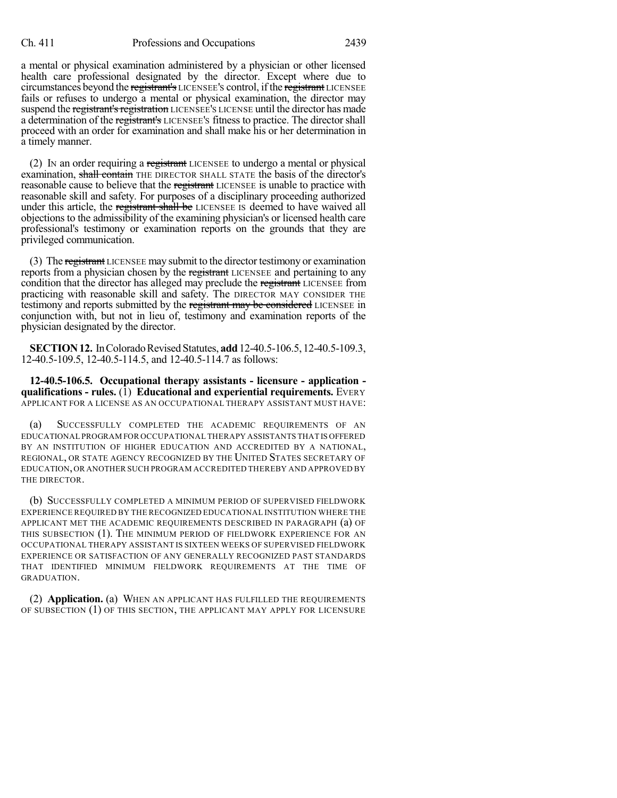a mental or physical examination administered by a physician or other licensed health care professional designated by the director. Except where due to circumstances beyond the registrant's LICENSEE'S control, if the registrant LICENSEE fails or refuses to undergo a mental or physical examination, the director may suspend the registrant's registration LICENSEE'S LICENSE until the director has made a determination of the registrant's LICENSEE'S fitness to practice. The director shall proceed with an order for examination and shall make his or her determination in a timely manner.

 $(2)$  In an order requiring a registrant LICENSEE to undergo a mental or physical examination, shall contain THE DIRECTOR SHALL STATE the basis of the director's reasonable cause to believe that the registrant LICENSEE is unable to practice with reasonable skill and safety. For purposes of a disciplinary proceeding authorized under this article, the registrant shall be LICENSEE IS deemed to have waived all objections to the admissibility of the examining physician's or licensed health care professional's testimony or examination reports on the grounds that they are privileged communication.

(3) The registrant LICENSEE may submit to the director testimony or examination reports from a physician chosen by the registrant LICENSEE and pertaining to any condition that the director has alleged may preclude the registrant LICENSEE from practicing with reasonable skill and safety. The DIRECTOR MAY CONSIDER THE testimony and reports submitted by the registrant may be considered LICENSEE in conjunction with, but not in lieu of, testimony and examination reports of the physician designated by the director.

**SECTION 12.** In Colorado Revised Statutes, **add** 12-40.5-106.5, 12-40.5-109.3, 12-40.5-109.5, 12-40.5-114.5, and 12-40.5-114.7 as follows:

**12-40.5-106.5. Occupational therapy assistants - licensure - application qualifications - rules.** (1) **Educational and experiential requirements.** EVERY APPLICANT FOR A LICENSE AS AN OCCUPATIONAL THERAPY ASSISTANT MUST HAVE:

(a) SUCCESSFULLY COMPLETED THE ACADEMIC REQUIREMENTS OF AN EDUCATIONAL PROGRAM FOR OCCUPATIONAL THERAPY ASSISTANTS THAT IS OFFERED BY AN INSTITUTION OF HIGHER EDUCATION AND ACCREDITED BY A NATIONAL, REGIONAL, OR STATE AGENCY RECOGNIZED BY THE UNITED STATES SECRETARY OF EDUCATION,OR ANOTHER SUCH PROGRAM ACCREDITED THEREBY AND APPROVED BY THE DIRECTOR.

(b) SUCCESSFULLY COMPLETED A MINIMUM PERIOD OF SUPERVISED FIELDWORK EXPERIENCE REQUIRED BY THE RECOGNIZED EDUCATIONAL INSTITUTION WHERE THE APPLICANT MET THE ACADEMIC REQUIREMENTS DESCRIBED IN PARAGRAPH (a) OF THIS SUBSECTION (1). THE MINIMUM PERIOD OF FIELDWORK EXPERIENCE FOR AN OCCUPATIONAL THERAPY ASSISTANT IS SIXTEEN WEEKS OF SUPERVISED FIELDWORK EXPERIENCE OR SATISFACTION OF ANY GENERALLY RECOGNIZED PAST STANDARDS THAT IDENTIFIED MINIMUM FIELDWORK REQUIREMENTS AT THE TIME OF GRADUATION.

(2) **Application.** (a) WHEN AN APPLICANT HAS FULFILLED THE REQUIREMENTS OF SUBSECTION (1) OF THIS SECTION, THE APPLICANT MAY APPLY FOR LICENSURE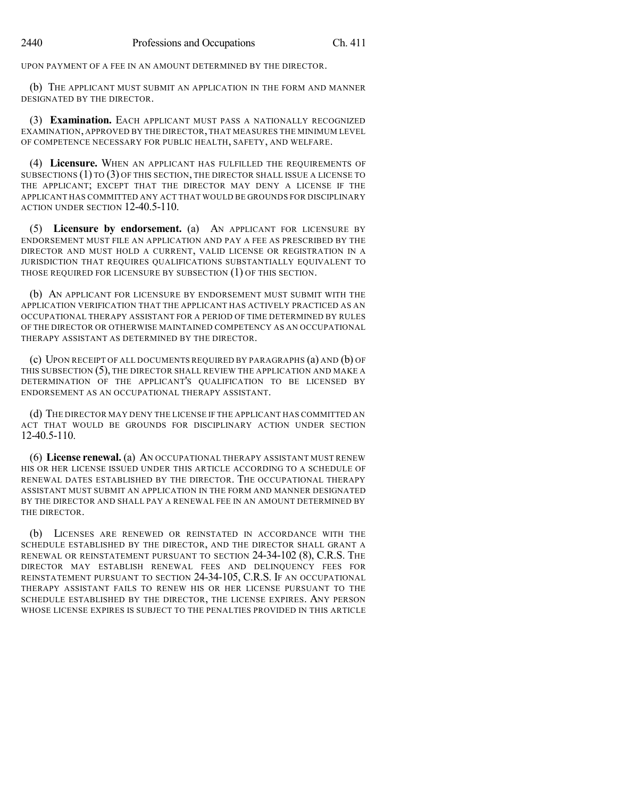UPON PAYMENT OF A FEE IN AN AMOUNT DETERMINED BY THE DIRECTOR.

(b) THE APPLICANT MUST SUBMIT AN APPLICATION IN THE FORM AND MANNER DESIGNATED BY THE DIRECTOR.

(3) **Examination.** EACH APPLICANT MUST PASS A NATIONALLY RECOGNIZED EXAMINATION, APPROVED BY THE DIRECTOR, THAT MEASURES THE MINIMUM LEVEL OF COMPETENCE NECESSARY FOR PUBLIC HEALTH, SAFETY, AND WELFARE.

(4) **Licensure.** WHEN AN APPLICANT HAS FULFILLED THE REQUIREMENTS OF SUBSECTIONS (1) TO (3) OF THIS SECTION, THE DIRECTOR SHALL ISSUE A LICENSE TO THE APPLICANT; EXCEPT THAT THE DIRECTOR MAY DENY A LICENSE IF THE APPLICANT HAS COMMITTED ANY ACT THAT WOULD BE GROUNDS FOR DISCIPLINARY ACTION UNDER SECTION 12-40.5-110.

(5) **Licensure by endorsement.** (a) AN APPLICANT FOR LICENSURE BY ENDORSEMENT MUST FILE AN APPLICATION AND PAY A FEE AS PRESCRIBED BY THE DIRECTOR AND MUST HOLD A CURRENT, VALID LICENSE OR REGISTRATION IN A JURISDICTION THAT REQUIRES QUALIFICATIONS SUBSTANTIALLY EQUIVALENT TO THOSE REQUIRED FOR LICENSURE BY SUBSECTION (1) OF THIS SECTION.

(b) AN APPLICANT FOR LICENSURE BY ENDORSEMENT MUST SUBMIT WITH THE APPLICATION VERIFICATION THAT THE APPLICANT HAS ACTIVELY PRACTICED AS AN OCCUPATIONAL THERAPY ASSISTANT FOR A PERIOD OF TIME DETERMINED BY RULES OF THE DIRECTOR OR OTHERWISE MAINTAINED COMPETENCY AS AN OCCUPATIONAL THERAPY ASSISTANT AS DETERMINED BY THE DIRECTOR.

(c) UPON RECEIPT OF ALL DOCUMENTS REQUIRED BY PARAGRAPHS (a) AND (b) OF THIS SUBSECTION (5), THE DIRECTOR SHALL REVIEW THE APPLICATION AND MAKE A DETERMINATION OF THE APPLICANT'S QUALIFICATION TO BE LICENSED BY ENDORSEMENT AS AN OCCUPATIONAL THERAPY ASSISTANT.

(d) THE DIRECTOR MAY DENY THE LICENSE IF THE APPLICANT HAS COMMITTED AN ACT THAT WOULD BE GROUNDS FOR DISCIPLINARY ACTION UNDER SECTION 12-40.5-110.

(6) **License renewal.** (a) AN OCCUPATIONAL THERAPY ASSISTANT MUST RENEW HIS OR HER LICENSE ISSUED UNDER THIS ARTICLE ACCORDING TO A SCHEDULE OF RENEWAL DATES ESTABLISHED BY THE DIRECTOR. THE OCCUPATIONAL THERAPY ASSISTANT MUST SUBMIT AN APPLICATION IN THE FORM AND MANNER DESIGNATED BY THE DIRECTOR AND SHALL PAY A RENEWAL FEE IN AN AMOUNT DETERMINED BY THE DIRECTOR.

(b) LICENSES ARE RENEWED OR REINSTATED IN ACCORDANCE WITH THE SCHEDULE ESTABLISHED BY THE DIRECTOR, AND THE DIRECTOR SHALL GRANT A RENEWAL OR REINSTATEMENT PURSUANT TO SECTION 24-34-102 (8), C.R.S. THE DIRECTOR MAY ESTABLISH RENEWAL FEES AND DELINQUENCY FEES FOR REINSTATEMENT PURSUANT TO SECTION 24-34-105, C.R.S. IF AN OCCUPATIONAL THERAPY ASSISTANT FAILS TO RENEW HIS OR HER LICENSE PURSUANT TO THE SCHEDULE ESTABLISHED BY THE DIRECTOR, THE LICENSE EXPIRES. ANY PERSON WHOSE LICENSE EXPIRES IS SUBJECT TO THE PENALTIES PROVIDED IN THIS ARTICLE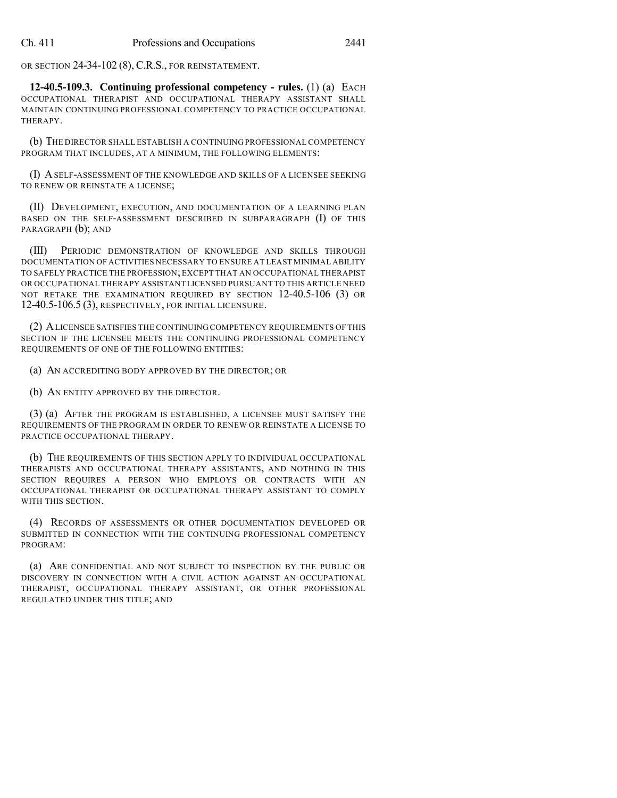OR SECTION 24-34-102 (8), C.R.S., FOR REINSTATEMENT.

**12-40.5-109.3. Continuing professional competency - rules.** (1) (a) EACH OCCUPATIONAL THERAPIST AND OCCUPATIONAL THERAPY ASSISTANT SHALL MAINTAIN CONTINUING PROFESSIONAL COMPETENCY TO PRACTICE OCCUPATIONAL THERAPY.

(b) THE DIRECTOR SHALL ESTABLISH A CONTINUING PROFESSIONAL COMPETENCY PROGRAM THAT INCLUDES, AT A MINIMUM, THE FOLLOWING ELEMENTS:

(I) ASELF-ASSESSMENT OF THE KNOWLEDGE AND SKILLS OF A LICENSEE SEEKING TO RENEW OR REINSTATE A LICENSE;

(II) DEVELOPMENT, EXECUTION, AND DOCUMENTATION OF A LEARNING PLAN BASED ON THE SELF-ASSESSMENT DESCRIBED IN SUBPARAGRAPH (I) OF THIS PARAGRAPH (b); AND

(III) PERIODIC DEMONSTRATION OF KNOWLEDGE AND SKILLS THROUGH DOCUMENTATION OF ACTIVITIES NECESSARY TO ENSURE AT LEAST MINIMAL ABILITY TO SAFELY PRACTICE THE PROFESSION; EXCEPT THAT AN OCCUPATIONAL THERAPIST OR OCCUPATIONAL THERAPY ASSISTANT LICENSED PURSUANT TO THIS ARTICLE NEED NOT RETAKE THE EXAMINATION REQUIRED BY SECTION 12-40.5-106 (3) OR 12-40.5-106.5 (3), RESPECTIVELY, FOR INITIAL LICENSURE.

(2) ALICENSEE SATISFIES THE CONTINUING COMPETENCY REQUIREMENTS OF THIS SECTION IF THE LICENSEE MEETS THE CONTINUING PROFESSIONAL COMPETENCY REQUIREMENTS OF ONE OF THE FOLLOWING ENTITIES:

(a) AN ACCREDITING BODY APPROVED BY THE DIRECTOR; OR

(b) AN ENTITY APPROVED BY THE DIRECTOR.

(3) (a) AFTER THE PROGRAM IS ESTABLISHED, A LICENSEE MUST SATISFY THE REQUIREMENTS OF THE PROGRAM IN ORDER TO RENEW OR REINSTATE A LICENSE TO PRACTICE OCCUPATIONAL THERAPY.

(b) THE REQUIREMENTS OF THIS SECTION APPLY TO INDIVIDUAL OCCUPATIONAL THERAPISTS AND OCCUPATIONAL THERAPY ASSISTANTS, AND NOTHING IN THIS SECTION REQUIRES A PERSON WHO EMPLOYS OR CONTRACTS WITH AN OCCUPATIONAL THERAPIST OR OCCUPATIONAL THERAPY ASSISTANT TO COMPLY WITH THIS SECTION.

(4) RECORDS OF ASSESSMENTS OR OTHER DOCUMENTATION DEVELOPED OR SUBMITTED IN CONNECTION WITH THE CONTINUING PROFESSIONAL COMPETENCY PROGRAM:

(a) ARE CONFIDENTIAL AND NOT SUBJECT TO INSPECTION BY THE PUBLIC OR DISCOVERY IN CONNECTION WITH A CIVIL ACTION AGAINST AN OCCUPATIONAL THERAPIST, OCCUPATIONAL THERAPY ASSISTANT, OR OTHER PROFESSIONAL REGULATED UNDER THIS TITLE; AND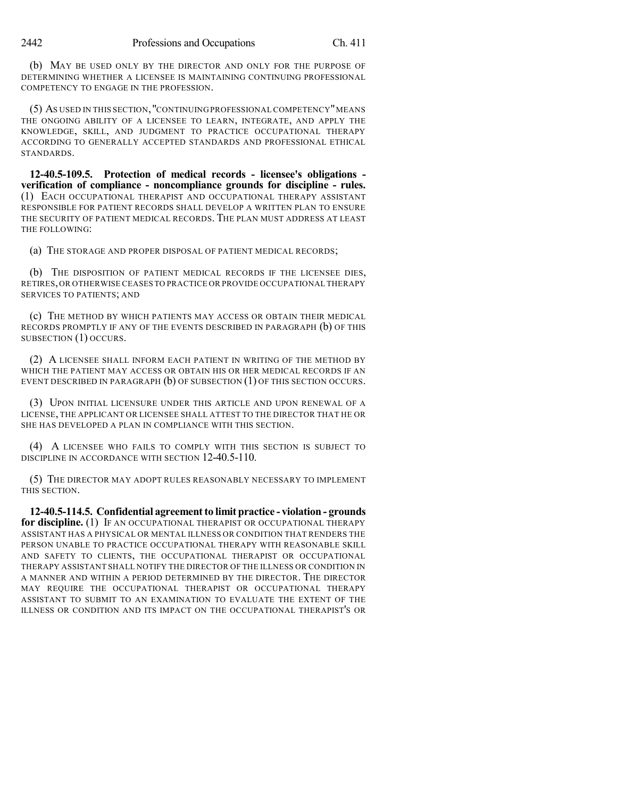(b) MAY BE USED ONLY BY THE DIRECTOR AND ONLY FOR THE PURPOSE OF DETERMINING WHETHER A LICENSEE IS MAINTAINING CONTINUING PROFESSIONAL COMPETENCY TO ENGAGE IN THE PROFESSION.

(5) AS USED IN THIS SECTION,"CONTINUING PROFESSIONAL COMPETENCY"MEANS THE ONGOING ABILITY OF A LICENSEE TO LEARN, INTEGRATE, AND APPLY THE KNOWLEDGE, SKILL, AND JUDGMENT TO PRACTICE OCCUPATIONAL THERAPY ACCORDING TO GENERALLY ACCEPTED STANDARDS AND PROFESSIONAL ETHICAL STANDARDS.

**12-40.5-109.5. Protection of medical records - licensee's obligations verification of compliance - noncompliance grounds for discipline - rules.** (1) EACH OCCUPATIONAL THERAPIST AND OCCUPATIONAL THERAPY ASSISTANT RESPONSIBLE FOR PATIENT RECORDS SHALL DEVELOP A WRITTEN PLAN TO ENSURE THE SECURITY OF PATIENT MEDICAL RECORDS. THE PLAN MUST ADDRESS AT LEAST THE FOLLOWING:

(a) THE STORAGE AND PROPER DISPOSAL OF PATIENT MEDICAL RECORDS;

(b) THE DISPOSITION OF PATIENT MEDICAL RECORDS IF THE LICENSEE DIES, RETIRES,OR OTHERWISE CEASES TO PRACTICE OR PROVIDE OCCUPATIONAL THERAPY SERVICES TO PATIENTS; AND

(c) THE METHOD BY WHICH PATIENTS MAY ACCESS OR OBTAIN THEIR MEDICAL RECORDS PROMPTLY IF ANY OF THE EVENTS DESCRIBED IN PARAGRAPH (b) OF THIS SUBSECTION (1) OCCURS.

(2) A LICENSEE SHALL INFORM EACH PATIENT IN WRITING OF THE METHOD BY WHICH THE PATIENT MAY ACCESS OR OBTAIN HIS OR HER MEDICAL RECORDS IF AN EVENT DESCRIBED IN PARAGRAPH (b) OF SUBSECTION (1) OF THIS SECTION OCCURS.

(3) UPON INITIAL LICENSURE UNDER THIS ARTICLE AND UPON RENEWAL OF A LICENSE, THE APPLICANT OR LICENSEE SHALL ATTEST TO THE DIRECTOR THAT HE OR SHE HAS DEVELOPED A PLAN IN COMPLIANCE WITH THIS SECTION.

(4) A LICENSEE WHO FAILS TO COMPLY WITH THIS SECTION IS SUBJECT TO DISCIPLINE IN ACCORDANCE WITH SECTION 12-40.5-110.

(5) THE DIRECTOR MAY ADOPT RULES REASONABLY NECESSARY TO IMPLEMENT THIS SECTION.

**12-40.5-114.5. Confidential agreementto limit practice - violation - grounds for discipline.** (1) IF AN OCCUPATIONAL THERAPIST OR OCCUPATIONAL THERAPY ASSISTANT HAS A PHYSICAL OR MENTAL ILLNESS OR CONDITION THAT RENDERS THE PERSON UNABLE TO PRACTICE OCCUPATIONAL THERAPY WITH REASONABLE SKILL AND SAFETY TO CLIENTS, THE OCCUPATIONAL THERAPIST OR OCCUPATIONAL THERAPY ASSISTANT SHALL NOTIFY THE DIRECTOR OF THE ILLNESS OR CONDITION IN A MANNER AND WITHIN A PERIOD DETERMINED BY THE DIRECTOR. THE DIRECTOR MAY REQUIRE THE OCCUPATIONAL THERAPIST OR OCCUPATIONAL THERAPY ASSISTANT TO SUBMIT TO AN EXAMINATION TO EVALUATE THE EXTENT OF THE ILLNESS OR CONDITION AND ITS IMPACT ON THE OCCUPATIONAL THERAPIST'S OR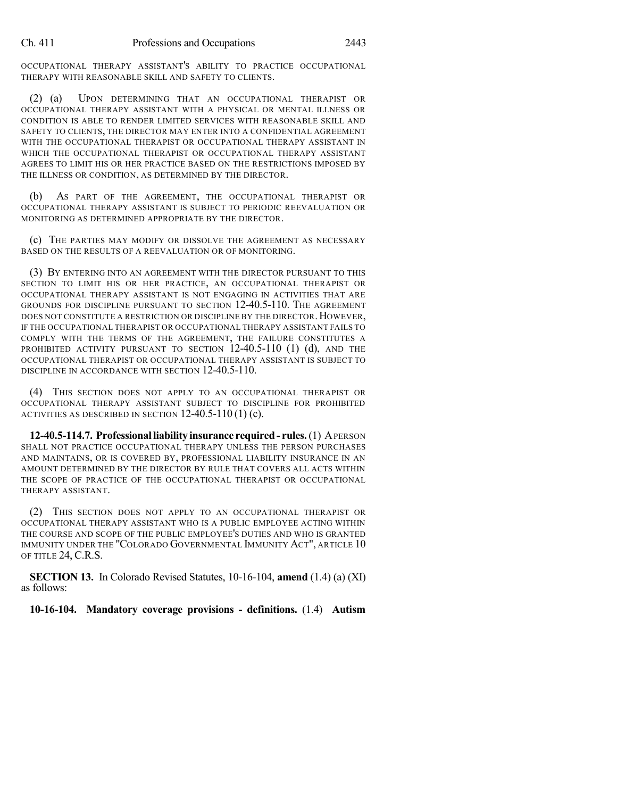OCCUPATIONAL THERAPY ASSISTANT'S ABILITY TO PRACTICE OCCUPATIONAL THERAPY WITH REASONABLE SKILL AND SAFETY TO CLIENTS.

(2) (a) UPON DETERMINING THAT AN OCCUPATIONAL THERAPIST OR OCCUPATIONAL THERAPY ASSISTANT WITH A PHYSICAL OR MENTAL ILLNESS OR CONDITION IS ABLE TO RENDER LIMITED SERVICES WITH REASONABLE SKILL AND SAFETY TO CLIENTS, THE DIRECTOR MAY ENTER INTO A CONFIDENTIAL AGREEMENT WITH THE OCCUPATIONAL THERAPIST OR OCCUPATIONAL THERAPY ASSISTANT IN WHICH THE OCCUPATIONAL THERAPIST OR OCCUPATIONAL THERAPY ASSISTANT AGREES TO LIMIT HIS OR HER PRACTICE BASED ON THE RESTRICTIONS IMPOSED BY THE ILLNESS OR CONDITION, AS DETERMINED BY THE DIRECTOR.

(b) AS PART OF THE AGREEMENT, THE OCCUPATIONAL THERAPIST OR OCCUPATIONAL THERAPY ASSISTANT IS SUBJECT TO PERIODIC REEVALUATION OR MONITORING AS DETERMINED APPROPRIATE BY THE DIRECTOR.

(c) THE PARTIES MAY MODIFY OR DISSOLVE THE AGREEMENT AS NECESSARY BASED ON THE RESULTS OF A REEVALUATION OR OF MONITORING.

(3) BY ENTERING INTO AN AGREEMENT WITH THE DIRECTOR PURSUANT TO THIS SECTION TO LIMIT HIS OR HER PRACTICE, AN OCCUPATIONAL THERAPIST OR OCCUPATIONAL THERAPY ASSISTANT IS NOT ENGAGING IN ACTIVITIES THAT ARE GROUNDS FOR DISCIPLINE PURSUANT TO SECTION 12-40.5-110. THE AGREEMENT DOES NOT CONSTITUTE A RESTRICTION OR DISCIPLINE BY THE DIRECTOR.HOWEVER, IF THE OCCUPATIONAL THERAPIST OR OCCUPATIONAL THERAPY ASSISTANT FAILS TO COMPLY WITH THE TERMS OF THE AGREEMENT, THE FAILURE CONSTITUTES A PROHIBITED ACTIVITY PURSUANT TO SECTION 12-40.5-110 (1) (d), AND THE OCCUPATIONAL THERAPIST OR OCCUPATIONAL THERAPY ASSISTANT IS SUBJECT TO DISCIPLINE IN ACCORDANCE WITH SECTION 12-40.5-110.

(4) THIS SECTION DOES NOT APPLY TO AN OCCUPATIONAL THERAPIST OR OCCUPATIONAL THERAPY ASSISTANT SUBJECT TO DISCIPLINE FOR PROHIBITED ACTIVITIES AS DESCRIBED IN SECTION  $12-40.5-110(1)(c)$ .

**12-40.5-114.7. Professionalliability insurance required- rules.**(1) APERSON SHALL NOT PRACTICE OCCUPATIONAL THERAPY UNLESS THE PERSON PURCHASES AND MAINTAINS, OR IS COVERED BY, PROFESSIONAL LIABILITY INSURANCE IN AN AMOUNT DETERMINED BY THE DIRECTOR BY RULE THAT COVERS ALL ACTS WITHIN THE SCOPE OF PRACTICE OF THE OCCUPATIONAL THERAPIST OR OCCUPATIONAL THERAPY ASSISTANT.

(2) THIS SECTION DOES NOT APPLY TO AN OCCUPATIONAL THERAPIST OR OCCUPATIONAL THERAPY ASSISTANT WHO IS A PUBLIC EMPLOYEE ACTING WITHIN THE COURSE AND SCOPE OF THE PUBLIC EMPLOYEE'S DUTIES AND WHO IS GRANTED IMMUNITY UNDER THE "COLORADO GOVERNMENTAL IMMUNITY ACT", ARTICLE 10 OF TITLE 24, C.R.S.

**SECTION 13.** In Colorado Revised Statutes, 10-16-104, **amend** (1.4) (a) (XI) as follows:

**10-16-104. Mandatory coverage provisions - definitions.** (1.4) **Autism**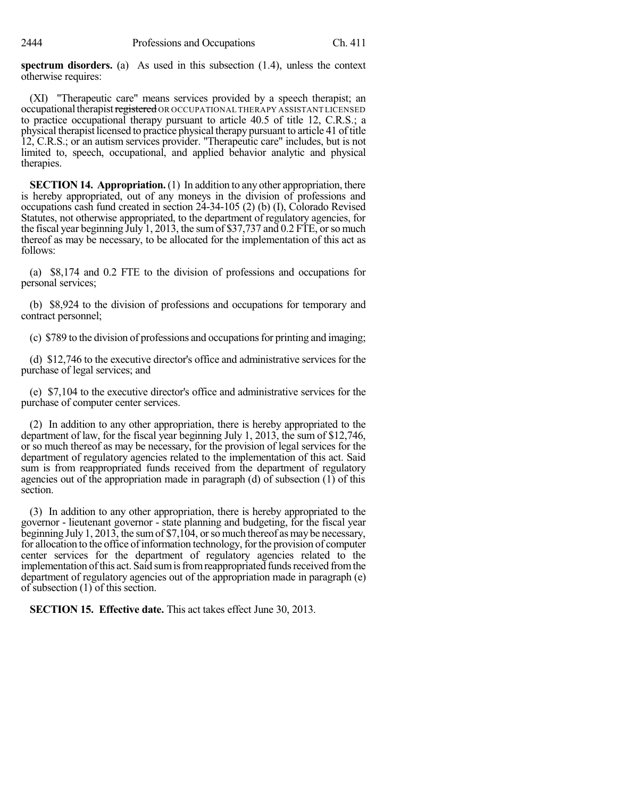**spectrum disorders.** (a) As used in this subsection (1.4), unless the context otherwise requires:

(XI) "Therapeutic care" means services provided by a speech therapist; an occupational therapist registered OR OCCUPATIONAL THERAPY ASSISTANT LICENSED to practice occupational therapy pursuant to article 40.5 of title 12, C.R.S.; a physical therapist licensed to practice physical therapy pursuant to article 41 of title 12, C.R.S.; or an autism services provider. "Therapeutic care" includes, but is not limited to, speech, occupational, and applied behavior analytic and physical therapies.

**SECTION 14. Appropriation.** (1) In addition to any other appropriation, there is hereby appropriated, out of any moneys in the division of professions and occupations cash fund created in section 24-34-105 (2) (b) (I), Colorado Revised Statutes, not otherwise appropriated, to the department of regulatory agencies, for the fiscal year beginning July 1, 2013, the sumof \$37,737 and 0.2 FTE, orso much thereof as may be necessary, to be allocated for the implementation of this act as follows:

(a) \$8,174 and 0.2 FTE to the division of professions and occupations for personal services;

(b) \$8,924 to the division of professions and occupations for temporary and contract personnel;

(c) \$789 to the division of professions and occupations for printing and imaging;

(d) \$12,746 to the executive director's office and administrative services for the purchase of legal services; and

(e) \$7,104 to the executive director's office and administrative services for the purchase of computer center services.

(2) In addition to any other appropriation, there is hereby appropriated to the department of law, for the fiscal year beginning July 1, 2013, the sum of \$12,746, or so much thereof as may be necessary, for the provision of legal services for the department of regulatory agencies related to the implementation of this act. Said sum is from reappropriated funds received from the department of regulatory agencies out of the appropriation made in paragraph (d) of subsection (1) of this section.

(3) In addition to any other appropriation, there is hereby appropriated to the governor - lieutenant governor - state planning and budgeting, for the fiscal year beginning July 1, 2013, the sum of \$7,104, or so much thereof as may be necessary, for allocation to the office of information technology, for the provision of computer center services for the department of regulatory agencies related to the implementation of this act. Said sum is from reappropriated funds received from the department of regulatory agencies out of the appropriation made in paragraph (e) of subsection (1) of this section.

**SECTION 15. Effective date.** This act takes effect June 30, 2013.